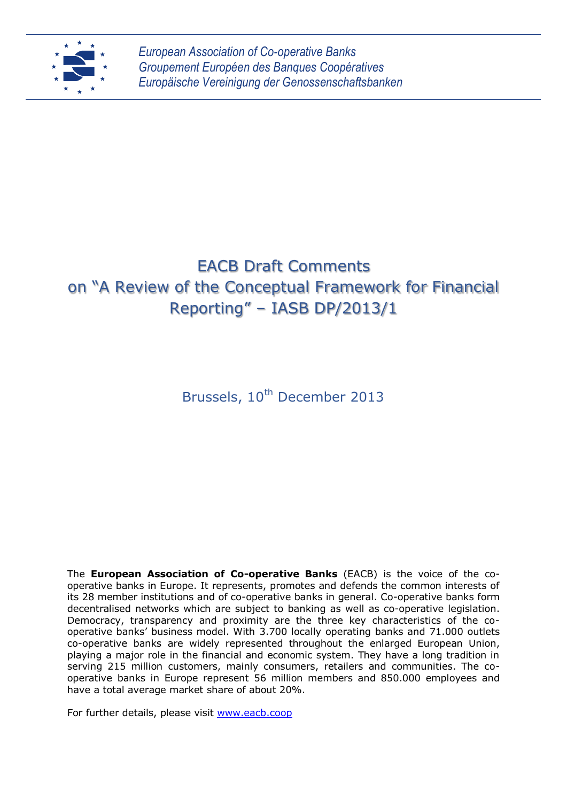

*European Association of Co-operative Banks Groupement Européen des Banques Coopératives Europäische Vereinigung der Genossenschaftsbanken*

# EACB Draft Comments on "A Review of the Conceptual Framework for Financial Reporting" – IASB DP/2013/1

Brussels, 10<sup>th</sup> December 2013

The **European Association of Co-operative Banks** (EACB) is the voice of the cooperative banks in Europe. It represents, promotes and defends the common interests of its 28 member institutions and of co-operative banks in general. Co-operative banks form decentralised networks which are subject to banking as well as co-operative legislation. Democracy, transparency and proximity are the three key characteristics of the cooperative banks' business model. With 3.700 locally operating banks and 71.000 outlets co-operative banks are widely represented throughout the enlarged European Union, playing a major role in the financial and economic system. They have a long tradition in serving 215 million customers, mainly consumers, retailers and communities. The cooperative banks in Europe represent 56 million members and 850.000 employees and have a total average market share of about 20%.

For further details, please visit [www.eacb.coop](http://www.eacb.coop/)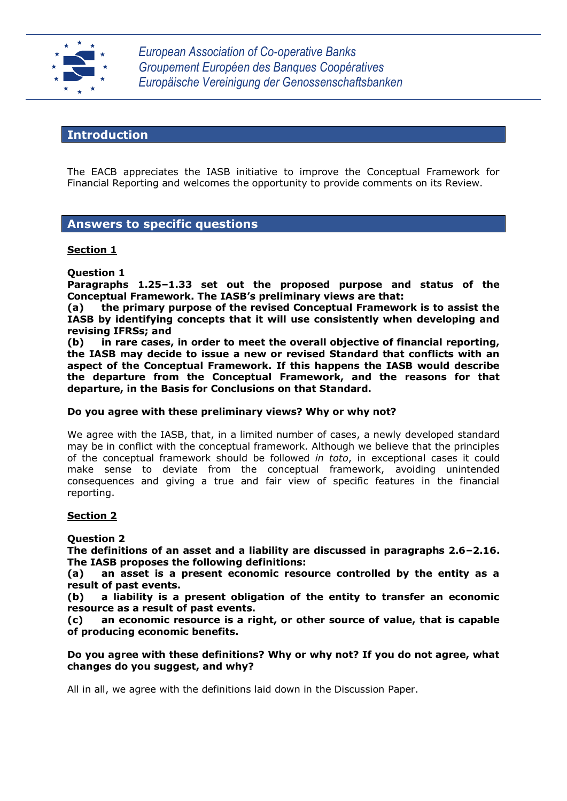

*European Association of Co-operative Banks Groupement Européen des Banques Coopératives Europäische Vereinigung der Genossenschaftsbanken*

# **Introduction**

The EACB appreciates the IASB initiative to improve the Conceptual Framework for Financial Reporting and welcomes the opportunity to provide comments on its Review.

# **Answers to specific questions**

## **Section 1**

**Question 1**

**Paragraphs 1.25–1.33 set out the proposed purpose and status of the Conceptual Framework. The IASB's preliminary views are that:**

**(a) the primary purpose of the revised Conceptual Framework is to assist the IASB by identifying concepts that it will use consistently when developing and revising IFRSs; and**

**(b) in rare cases, in order to meet the overall objective of financial reporting, the IASB may decide to issue a new or revised Standard that conflicts with an aspect of the Conceptual Framework. If this happens the IASB would describe the departure from the Conceptual Framework, and the reasons for that departure, in the Basis for Conclusions on that Standard.** 

#### **Do you agree with these preliminary views? Why or why not?**

We agree with the IASB, that, in a limited number of cases, a newly developed standard may be in conflict with the conceptual framework. Although we believe that the principles of the conceptual framework should be followed *in toto*, in exceptional cases it could make sense to deviate from the conceptual framework, avoiding unintended consequences and giving a true and fair view of specific features in the financial reporting.

# **Section 2**

#### **Question 2**

**The definitions of an asset and a liability are discussed in paragraphs 2.6–2.16. The IASB proposes the following definitions:**

**(a) an asset is a present economic resource controlled by the entity as a result of past events.** 

**(b) a liability is a present obligation of the entity to transfer an economic resource as a result of past events.**

**(c) an economic resource is a right, or other source of value, that is capable of producing economic benefits.**

**Do you agree with these definitions? Why or why not? If you do not agree, what changes do you suggest, and why?**

All in all, we agree with the definitions laid down in the Discussion Paper.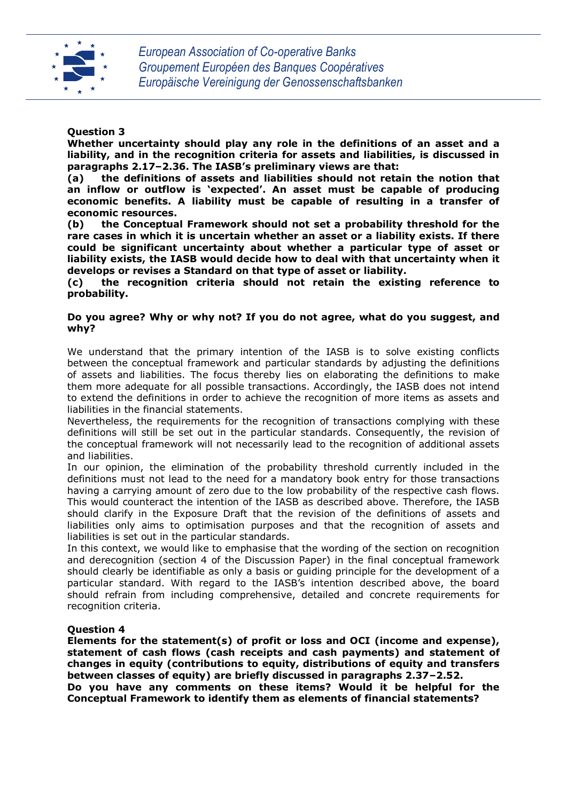

## **Question 3**

**Whether uncertainty should play any role in the definitions of an asset and a liability, and in the recognition criteria for assets and liabilities, is discussed in paragraphs 2.17–2.36. The IASB's preliminary views are that:**

**(a) the definitions of assets and liabilities should not retain the notion that an inflow or outflow is 'expected'. An asset must be capable of producing economic benefits. A liability must be capable of resulting in a transfer of economic resources.**

**(b) the Conceptual Framework should not set a probability threshold for the rare cases in which it is uncertain whether an asset or a liability exists. If there could be significant uncertainty about whether a particular type of asset or liability exists, the IASB would decide how to deal with that uncertainty when it develops or revises a Standard on that type of asset or liability.** 

**(c) the recognition criteria should not retain the existing reference to probability.**

#### **Do you agree? Why or why not? If you do not agree, what do you suggest, and why?**

We understand that the primary intention of the IASB is to solve existing conflicts between the conceptual framework and particular standards by adjusting the definitions of assets and liabilities. The focus thereby lies on elaborating the definitions to make them more adequate for all possible transactions. Accordingly, the IASB does not intend to extend the definitions in order to achieve the recognition of more items as assets and liabilities in the financial statements.

Nevertheless, the requirements for the recognition of transactions complying with these definitions will still be set out in the particular standards. Consequently, the revision of the conceptual framework will not necessarily lead to the recognition of additional assets and liabilities.

In our opinion, the elimination of the probability threshold currently included in the definitions must not lead to the need for a mandatory book entry for those transactions having a carrying amount of zero due to the low probability of the respective cash flows. This would counteract the intention of the IASB as described above. Therefore, the IASB should clarify in the Exposure Draft that the revision of the definitions of assets and liabilities only aims to optimisation purposes and that the recognition of assets and liabilities is set out in the particular standards.

In this context, we would like to emphasise that the wording of the section on recognition and derecognition (section 4 of the Discussion Paper) in the final conceptual framework should clearly be identifiable as only a basis or guiding principle for the development of a particular standard. With regard to the IASB's intention described above, the board should refrain from including comprehensive, detailed and concrete requirements for recognition criteria.

#### **Question 4**

**Elements for the statement(s) of profit or loss and OCI (income and expense), statement of cash flows (cash receipts and cash payments) and statement of changes in equity (contributions to equity, distributions of equity and transfers between classes of equity) are briefly discussed in paragraphs 2.37–2.52.**

**Do you have any comments on these items? Would it be helpful for the Conceptual Framework to identify them as elements of financial statements?**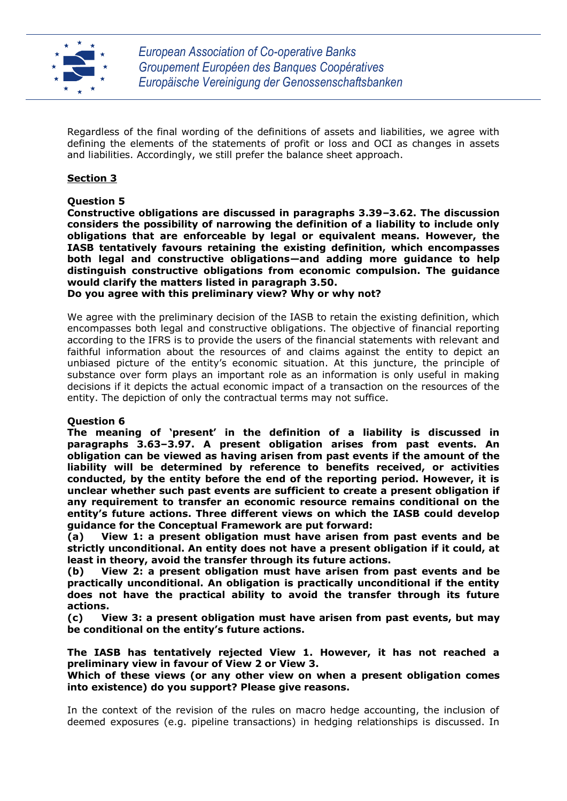

Regardless of the final wording of the definitions of assets and liabilities, we agree with defining the elements of the statements of profit or loss and OCI as changes in assets and liabilities. Accordingly, we still prefer the balance sheet approach.

# **Section 3**

## **Question 5**

**Constructive obligations are discussed in paragraphs 3.39–3.62. The discussion considers the possibility of narrowing the definition of a liability to include only obligations that are enforceable by legal or equivalent means. However, the IASB tentatively favours retaining the existing definition, which encompasses both legal and constructive obligations—and adding more guidance to help distinguish constructive obligations from economic compulsion. The guidance would clarify the matters listed in paragraph 3.50.**

**Do you agree with this preliminary view? Why or why not?**

We agree with the preliminary decision of the IASB to retain the existing definition, which encompasses both legal and constructive obligations. The objective of financial reporting according to the IFRS is to provide the users of the financial statements with relevant and faithful information about the resources of and claims against the entity to depict an unbiased picture of the entity's economic situation. At this juncture, the principle of substance over form plays an important role as an information is only useful in making decisions if it depicts the actual economic impact of a transaction on the resources of the entity. The depiction of only the contractual terms may not suffice.

# **Question 6**

**The meaning of 'present' in the definition of a liability is discussed in paragraphs 3.63–3.97. A present obligation arises from past events. An obligation can be viewed as having arisen from past events if the amount of the liability will be determined by reference to benefits received, or activities conducted, by the entity before the end of the reporting period. However, it is unclear whether such past events are sufficient to create a present obligation if any requirement to transfer an economic resource remains conditional on the entity's future actions. Three different views on which the IASB could develop guidance for the Conceptual Framework are put forward:**

**(a) View 1: a present obligation must have arisen from past events and be strictly unconditional. An entity does not have a present obligation if it could, at least in theory, avoid the transfer through its future actions.**

**(b) View 2: a present obligation must have arisen from past events and be practically unconditional. An obligation is practically unconditional if the entity does not have the practical ability to avoid the transfer through its future actions.** 

**(c) View 3: a present obligation must have arisen from past events, but may be conditional on the entity's future actions.**

**The IASB has tentatively rejected View 1. However, it has not reached a preliminary view in favour of View 2 or View 3.**

**Which of these views (or any other view on when a present obligation comes into existence) do you support? Please give reasons.**

In the context of the revision of the rules on macro hedge accounting, the inclusion of deemed exposures (e.g. pipeline transactions) in hedging relationships is discussed. In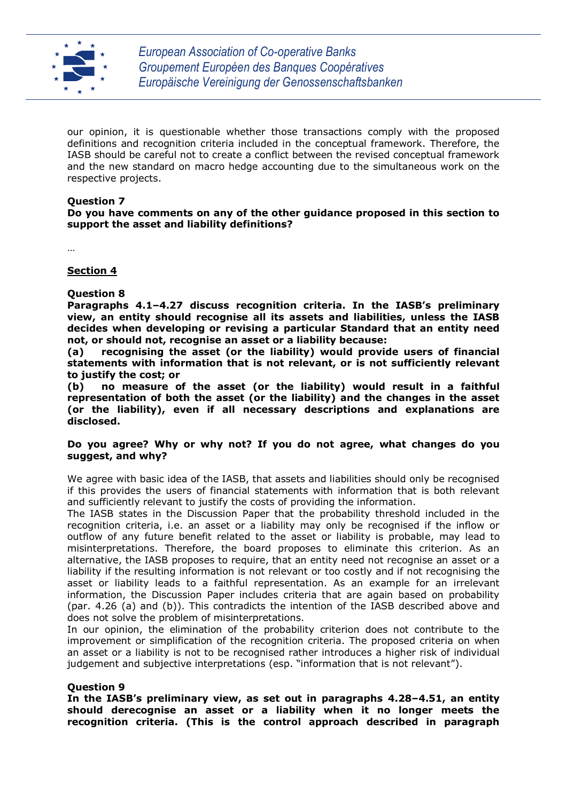

our opinion, it is questionable whether those transactions comply with the proposed definitions and recognition criteria included in the conceptual framework. Therefore, the IASB should be careful not to create a conflict between the revised conceptual framework and the new standard on macro hedge accounting due to the simultaneous work on the respective projects.

## **Question 7**

**Do you have comments on any of the other guidance proposed in this section to support the asset and liability definitions?**

…

## **Section 4**

## **Question 8**

**Paragraphs 4.1–4.27 discuss recognition criteria. In the IASB's preliminary view, an entity should recognise all its assets and liabilities, unless the IASB decides when developing or revising a particular Standard that an entity need not, or should not, recognise an asset or a liability because:**

**(a) recognising the asset (or the liability) would provide users of financial statements with information that is not relevant, or is not sufficiently relevant to justify the cost; or**

**(b) no measure of the asset (or the liability) would result in a faithful representation of both the asset (or the liability) and the changes in the asset (or the liability), even if all necessary descriptions and explanations are disclosed.**

#### **Do you agree? Why or why not? If you do not agree, what changes do you suggest, and why?**

We agree with basic idea of the IASB, that assets and liabilities should only be recognised if this provides the users of financial statements with information that is both relevant and sufficiently relevant to justify the costs of providing the information.

The IASB states in the Discussion Paper that the probability threshold included in the recognition criteria, i.e. an asset or a liability may only be recognised if the inflow or outflow of any future benefit related to the asset or liability is probable, may lead to misinterpretations. Therefore, the board proposes to eliminate this criterion. As an alternative, the IASB proposes to require, that an entity need not recognise an asset or a liability if the resulting information is not relevant or too costly and if not recognising the asset or liability leads to a faithful representation. As an example for an irrelevant information, the Discussion Paper includes criteria that are again based on probability (par. 4.26 (a) and (b)). This contradicts the intention of the IASB described above and does not solve the problem of misinterpretations.

In our opinion, the elimination of the probability criterion does not contribute to the improvement or simplification of the recognition criteria. The proposed criteria on when an asset or a liability is not to be recognised rather introduces a higher risk of individual judgement and subjective interpretations (esp. "information that is not relevant").

#### **Question 9**

**In the IASB's preliminary view, as set out in paragraphs 4.28–4.51, an entity should derecognise an asset or a liability when it no longer meets the recognition criteria. (This is the control approach described in paragraph**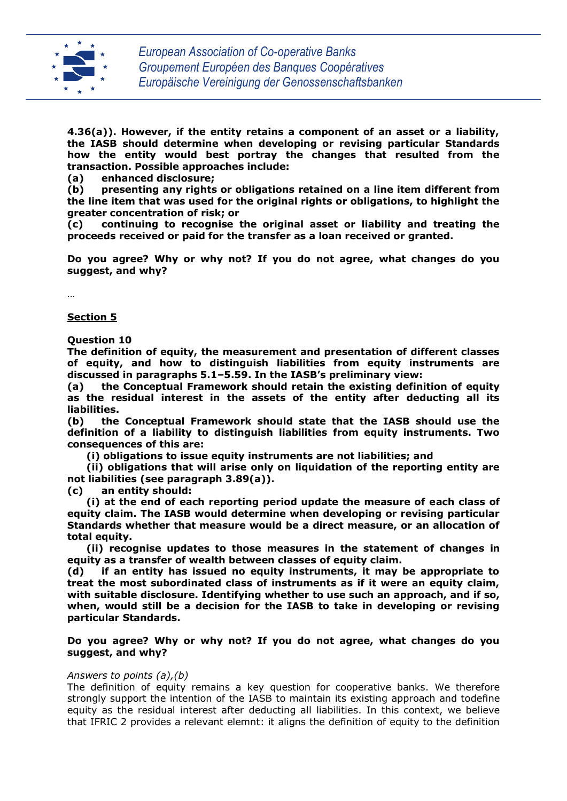

**4.36(a)). However, if the entity retains a component of an asset or a liability, the IASB should determine when developing or revising particular Standards how the entity would best portray the changes that resulted from the transaction. Possible approaches include:**

**(a) enhanced disclosure;**

**(b) presenting any rights or obligations retained on a line item different from the line item that was used for the original rights or obligations, to highlight the greater concentration of risk; or**

**(c) continuing to recognise the original asset or liability and treating the proceeds received or paid for the transfer as a loan received or granted.**

**Do you agree? Why or why not? If you do not agree, what changes do you suggest, and why?**

…

**Section 5**

**Question 10**

**The definition of equity, the measurement and presentation of different classes of equity, and how to distinguish liabilities from equity instruments are discussed in paragraphs 5.1–5.59. In the IASB's preliminary view:**

**(a) the Conceptual Framework should retain the existing definition of equity as the residual interest in the assets of the entity after deducting all its liabilities.**

**(b) the Conceptual Framework should state that the IASB should use the definition of a liability to distinguish liabilities from equity instruments. Two consequences of this are:**

 **(i) obligations to issue equity instruments are not liabilities; and**

 **(ii) obligations that will arise only on liquidation of the reporting entity are not liabilities (see paragraph 3.89(a)).**

**(c) an entity should:**

 **(i) at the end of each reporting period update the measure of each class of equity claim. The IASB would determine when developing or revising particular Standards whether that measure would be a direct measure, or an allocation of total equity.**

 **(ii) recognise updates to those measures in the statement of changes in equity as a transfer of wealth between classes of equity claim.**

**(d) if an entity has issued no equity instruments, it may be appropriate to treat the most subordinated class of instruments as if it were an equity claim, with suitable disclosure. Identifying whether to use such an approach, and if so, when, would still be a decision for the IASB to take in developing or revising particular Standards.**

#### **Do you agree? Why or why not? If you do not agree, what changes do you suggest, and why?**

#### *Answers to points (a),(b)*

The definition of equity remains a key question for cooperative banks. We therefore strongly support the intention of the IASB to maintain its existing approach and todefine equity as the residual interest after deducting all liabilities. In this context, we believe that IFRIC 2 provides a relevant elemnt: it aligns the definition of equity to the definition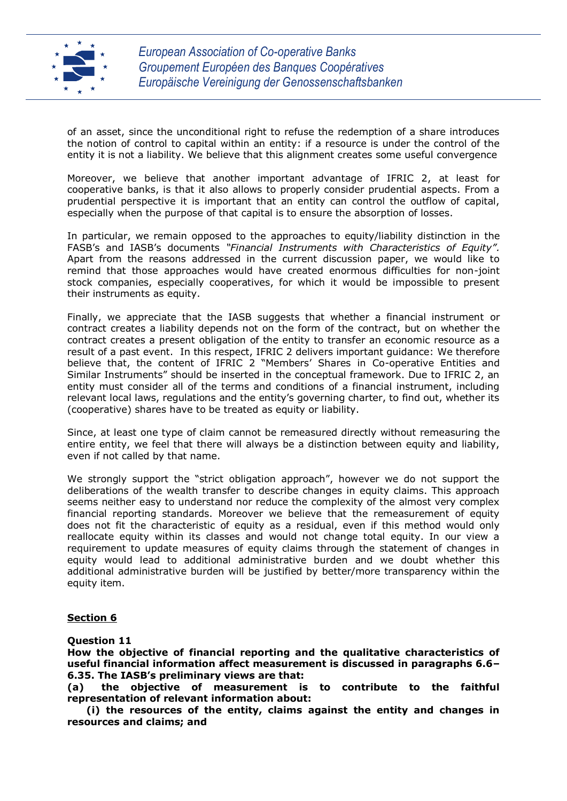

of an asset, since the unconditional right to refuse the redemption of a share introduces the notion of control to capital within an entity: if a resource is under the control of the entity it is not a liability. We believe that this alignment creates some useful convergence

Moreover, we believe that another important advantage of IFRIC 2, at least for cooperative banks, is that it also allows to properly consider prudential aspects. From a prudential perspective it is important that an entity can control the outflow of capital, especially when the purpose of that capital is to ensure the absorption of losses.

In particular, we remain opposed to the approaches to equity/liability distinction in the FASB's and IASB's documents *"Financial Instruments with Characteristics of Equity".*  Apart from the reasons addressed in the current discussion paper, we would like to remind that those approaches would have created enormous difficulties for non-joint stock companies, especially cooperatives, for which it would be impossible to present their instruments as equity.

Finally, we appreciate that the IASB suggests that whether a financial instrument or contract creates a liability depends not on the form of the contract, but on whether the contract creates a present obligation of the entity to transfer an economic resource as a result of a past event. In this respect, IFRIC 2 delivers important guidance: We therefore believe that, the content of IFRIC 2 "Members' Shares in Co-operative Entities and Similar Instruments" should be inserted in the conceptual framework. Due to IFRIC 2, an entity must consider all of the terms and conditions of a financial instrument, including relevant local laws, regulations and the entity's governing charter, to find out, whether its (cooperative) shares have to be treated as equity or liability.

Since, at least one type of claim cannot be remeasured directly without remeasuring the entire entity, we feel that there will always be a distinction between equity and liability, even if not called by that name.

We strongly support the "strict obligation approach", however we do not support the deliberations of the wealth transfer to describe changes in equity claims. This approach seems neither easy to understand nor reduce the complexity of the almost very complex financial reporting standards. Moreover we believe that the remeasurement of equity does not fit the characteristic of equity as a residual, even if this method would only reallocate equity within its classes and would not change total equity. In our view a requirement to update measures of equity claims through the statement of changes in equity would lead to additional administrative burden and we doubt whether this additional administrative burden will be justified by better/more transparency within the equity item.

# **Section 6**

**Question 11**

**How the objective of financial reporting and the qualitative characteristics of useful financial information affect measurement is discussed in paragraphs 6.6– 6.35. The IASB's preliminary views are that:**

**(a) the objective of measurement is to contribute to the faithful representation of relevant information about:**

 **(i) the resources of the entity, claims against the entity and changes in resources and claims; and**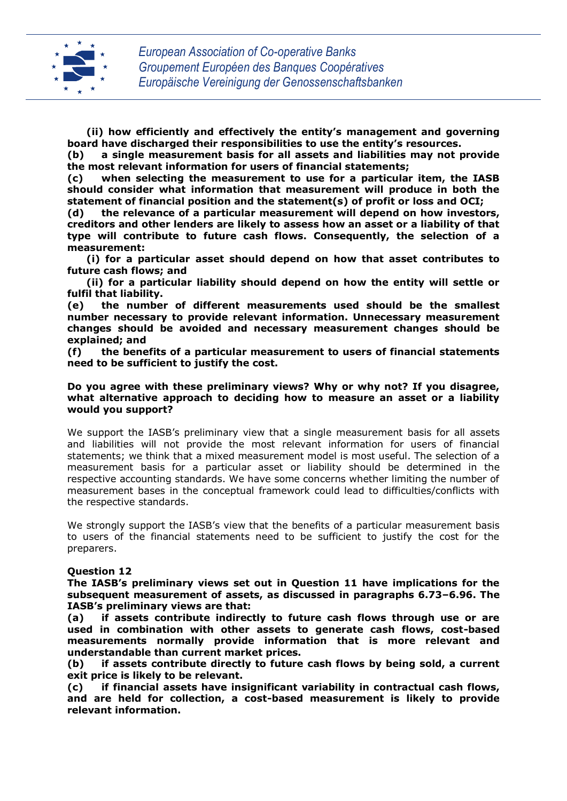

 **(ii) how efficiently and effectively the entity's management and governing board have discharged their responsibilities to use the entity's resources.**

**(b) a single measurement basis for all assets and liabilities may not provide the most relevant information for users of financial statements;** 

**(c) when selecting the measurement to use for a particular item, the IASB should consider what information that measurement will produce in both the statement of financial position and the statement(s) of profit or loss and OCI;**

**(d) the relevance of a particular measurement will depend on how investors, creditors and other lenders are likely to assess how an asset or a liability of that type will contribute to future cash flows. Consequently, the selection of a measurement:**

 **(i) for a particular asset should depend on how that asset contributes to future cash flows; and**

 **(ii) for a particular liability should depend on how the entity will settle or fulfil that liability.**

**(e) the number of different measurements used should be the smallest number necessary to provide relevant information. Unnecessary measurement changes should be avoided and necessary measurement changes should be explained; and**

**(f) the benefits of a particular measurement to users of financial statements need to be sufficient to justify the cost.**

#### **Do you agree with these preliminary views? Why or why not? If you disagree, what alternative approach to deciding how to measure an asset or a liability would you support?**

We support the IASB's preliminary view that a single measurement basis for all assets and liabilities will not provide the most relevant information for users of financial statements; we think that a mixed measurement model is most useful. The selection of a measurement basis for a particular asset or liability should be determined in the respective accounting standards. We have some concerns whether limiting the number of measurement bases in the conceptual framework could lead to difficulties/conflicts with the respective standards.

We strongly support the IASB's view that the benefits of a particular measurement basis to users of the financial statements need to be sufficient to justify the cost for the preparers.

#### **Question 12**

**The IASB's preliminary views set out in Question 11 have implications for the subsequent measurement of assets, as discussed in paragraphs 6.73–6.96. The IASB's preliminary views are that:**

**(a) if assets contribute indirectly to future cash flows through use or are used in combination with other assets to generate cash flows, cost-based measurements normally provide information that is more relevant and understandable than current market prices.**

**(b) if assets contribute directly to future cash flows by being sold, a current exit price is likely to be relevant.**

**(c) if financial assets have insignificant variability in contractual cash flows, and are held for collection, a cost-based measurement is likely to provide relevant information.**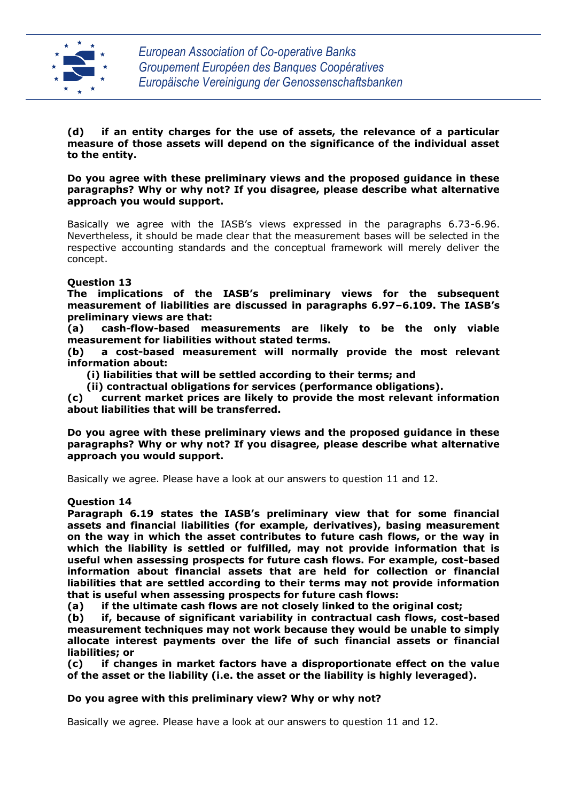

**(d) if an entity charges for the use of assets, the relevance of a particular measure of those assets will depend on the significance of the individual asset to the entity.**

**Do you agree with these preliminary views and the proposed guidance in these paragraphs? Why or why not? If you disagree, please describe what alternative approach you would support.**

Basically we agree with the IASB's views expressed in the paragraphs 6.73-6.96. Nevertheless, it should be made clear that the measurement bases will be selected in the respective accounting standards and the conceptual framework will merely deliver the concept.

## **Question 13**

**The implications of the IASB's preliminary views for the subsequent measurement of liabilities are discussed in paragraphs 6.97–6.109. The IASB's preliminary views are that:**

**(a) cash-flow-based measurements are likely to be the only viable measurement for liabilities without stated terms.**

**(b) a cost-based measurement will normally provide the most relevant information about:**

 **(i) liabilities that will be settled according to their terms; and**

 **(ii) contractual obligations for services (performance obligations).**

**(c) current market prices are likely to provide the most relevant information about liabilities that will be transferred.**

**Do you agree with these preliminary views and the proposed guidance in these paragraphs? Why or why not? If you disagree, please describe what alternative approach you would support.**

Basically we agree. Please have a look at our answers to question 11 and 12.

#### **Question 14**

**Paragraph 6.19 states the IASB's preliminary view that for some financial assets and financial liabilities (for example, derivatives), basing measurement on the way in which the asset contributes to future cash flows, or the way in which the liability is settled or fulfilled, may not provide information that is useful when assessing prospects for future cash flows. For example, cost-based information about financial assets that are held for collection or financial liabilities that are settled according to their terms may not provide information that is useful when assessing prospects for future cash flows:**

**(a) if the ultimate cash flows are not closely linked to the original cost;**

**(b) if, because of significant variability in contractual cash flows, cost-based measurement techniques may not work because they would be unable to simply allocate interest payments over the life of such financial assets or financial liabilities; or**

**(c) if changes in market factors have a disproportionate effect on the value of the asset or the liability (i.e. the asset or the liability is highly leveraged).**

#### **Do you agree with this preliminary view? Why or why not?**

Basically we agree. Please have a look at our answers to question 11 and 12.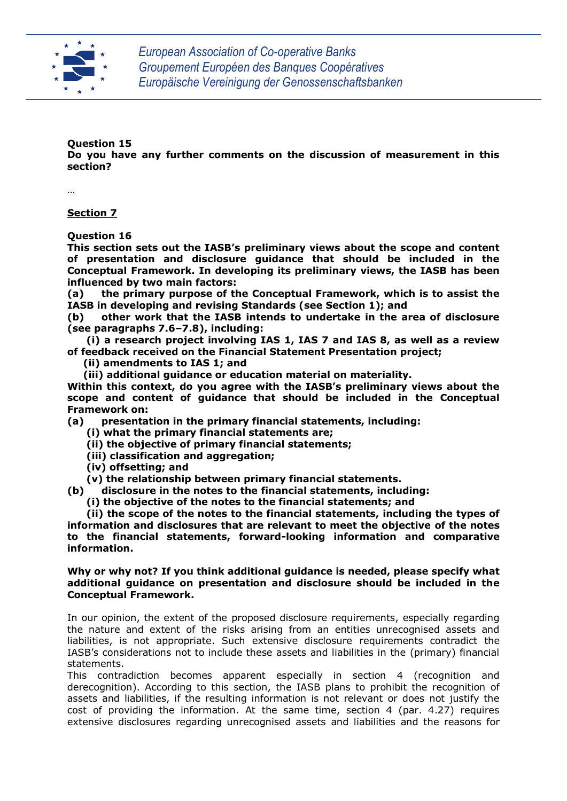

# **Question 15**

**Do you have any further comments on the discussion of measurement in this section?**

…

**Section 7**

**Question 16**

**This section sets out the IASB's preliminary views about the scope and content of presentation and disclosure guidance that should be included in the Conceptual Framework. In developing its preliminary views, the IASB has been influenced by two main factors:**

**(a) the primary purpose of the Conceptual Framework, which is to assist the IASB in developing and revising Standards (see Section 1); and** 

**(b) other work that the IASB intends to undertake in the area of disclosure (see paragraphs 7.6–7.8), including:**

 **(i) a research project involving IAS 1, IAS 7 and IAS 8, as well as a review of feedback received on the Financial Statement Presentation project;**

 **(ii) amendments to IAS 1; and**

 **(iii) additional guidance or education material on materiality.** 

**Within this context, do you agree with the IASB's preliminary views about the scope and content of guidance that should be included in the Conceptual Framework on:**

**(a) presentation in the primary financial statements, including:**

 **(i) what the primary financial statements are;**

- **(ii) the objective of primary financial statements;**
- **(iii) classification and aggregation;**
- **(iv) offsetting; and**

 **(v) the relationship between primary financial statements.**

**(b) disclosure in the notes to the financial statements, including:**

 **(i) the objective of the notes to the financial statements; and**

 **(ii) the scope of the notes to the financial statements, including the types of information and disclosures that are relevant to meet the objective of the notes to the financial statements, forward-looking information and comparative information.**

## **Why or why not? If you think additional guidance is needed, please specify what additional guidance on presentation and disclosure should be included in the Conceptual Framework.**

In our opinion, the extent of the proposed disclosure requirements, especially regarding the nature and extent of the risks arising from an entities unrecognised assets and liabilities, is not appropriate. Such extensive disclosure requirements contradict the IASB's considerations not to include these assets and liabilities in the (primary) financial statements.

This contradiction becomes apparent especially in section 4 (recognition and derecognition). According to this section, the IASB plans to prohibit the recognition of assets and liabilities, if the resulting information is not relevant or does not justify the cost of providing the information. At the same time, section 4 (par. 4.27) requires extensive disclosures regarding unrecognised assets and liabilities and the reasons for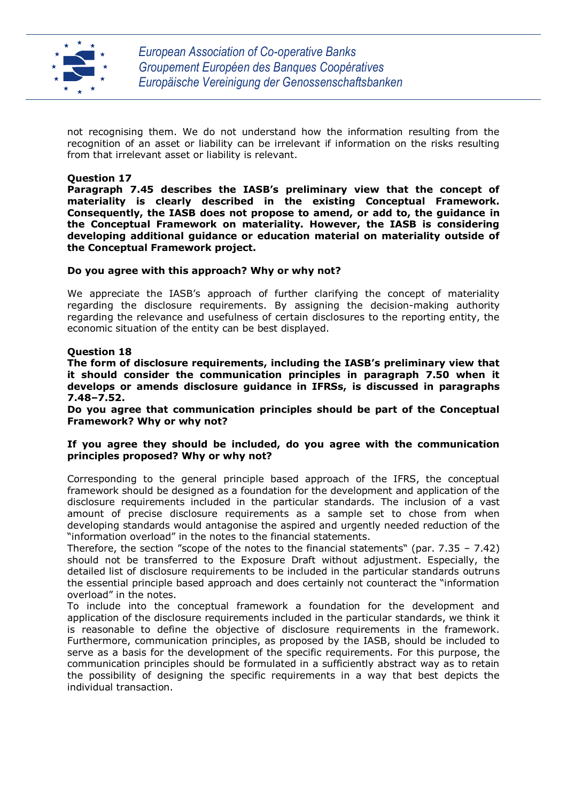

not recognising them. We do not understand how the information resulting from the recognition of an asset or liability can be irrelevant if information on the risks resulting from that irrelevant asset or liability is relevant.

## **Question 17**

**Paragraph 7.45 describes the IASB's preliminary view that the concept of materiality is clearly described in the existing Conceptual Framework. Consequently, the IASB does not propose to amend, or add to, the guidance in the Conceptual Framework on materiality. However, the IASB is considering developing additional guidance or education material on materiality outside of the Conceptual Framework project.**

#### **Do you agree with this approach? Why or why not?**

We appreciate the IASB's approach of further clarifying the concept of materiality regarding the disclosure requirements. By assigning the decision-making authority regarding the relevance and usefulness of certain disclosures to the reporting entity, the economic situation of the entity can be best displayed.

#### **Question 18**

**The form of disclosure requirements, including the IASB's preliminary view that it should consider the communication principles in paragraph 7.50 when it develops or amends disclosure guidance in IFRSs, is discussed in paragraphs 7.48–7.52.**

**Do you agree that communication principles should be part of the Conceptual Framework? Why or why not?**

#### **If you agree they should be included, do you agree with the communication principles proposed? Why or why not?**

Corresponding to the general principle based approach of the IFRS, the conceptual framework should be designed as a foundation for the development and application of the disclosure requirements included in the particular standards. The inclusion of a vast amount of precise disclosure requirements as a sample set to chose from when developing standards would antagonise the aspired and urgently needed reduction of the "information overload" in the notes to the financial statements.

Therefore, the section "scope of the notes to the financial statements" (par.  $7.35 - 7.42$ ) should not be transferred to the Exposure Draft without adjustment. Especially, the detailed list of disclosure requirements to be included in the particular standards outruns the essential principle based approach and does certainly not counteract the "information overload" in the notes.

To include into the conceptual framework a foundation for the development and application of the disclosure requirements included in the particular standards, we think it is reasonable to define the objective of disclosure requirements in the framework. Furthermore, communication principles, as proposed by the IASB, should be included to serve as a basis for the development of the specific requirements. For this purpose, the communication principles should be formulated in a sufficiently abstract way as to retain the possibility of designing the specific requirements in a way that best depicts the individual transaction.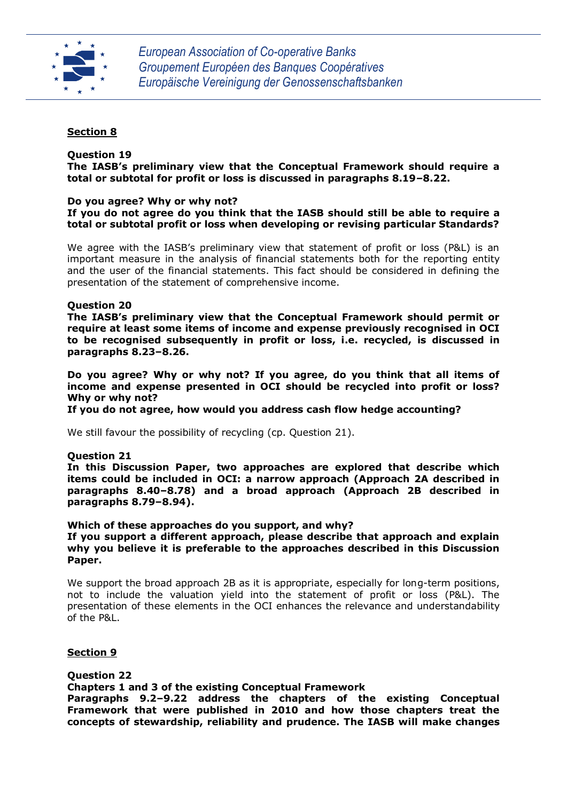

# **Section 8**

#### **Question 19**

**The IASB's preliminary view that the Conceptual Framework should require a total or subtotal for profit or loss is discussed in paragraphs 8.19–8.22.**

### **Do you agree? Why or why not?**

## **If you do not agree do you think that the IASB should still be able to require a total or subtotal profit or loss when developing or revising particular Standards?**

We agree with the IASB's preliminary view that statement of profit or loss (P&L) is an important measure in the analysis of financial statements both for the reporting entity and the user of the financial statements. This fact should be considered in defining the presentation of the statement of comprehensive income.

#### **Question 20**

**The IASB's preliminary view that the Conceptual Framework should permit or require at least some items of income and expense previously recognised in OCI to be recognised subsequently in profit or loss, i.e. recycled, is discussed in paragraphs 8.23–8.26.**

**Do you agree? Why or why not? If you agree, do you think that all items of income and expense presented in OCI should be recycled into profit or loss? Why or why not?**

**If you do not agree, how would you address cash flow hedge accounting?**

We still favour the possibility of recycling (cp. Question 21).

#### **Question 21**

**In this Discussion Paper, two approaches are explored that describe which items could be included in OCI: a narrow approach (Approach 2A described in paragraphs 8.40–8.78) and a broad approach (Approach 2B described in paragraphs 8.79–8.94).**

#### **Which of these approaches do you support, and why?**

**If you support a different approach, please describe that approach and explain why you believe it is preferable to the approaches described in this Discussion Paper.**

We support the broad approach 2B as it is appropriate, especially for long-term positions, not to include the valuation yield into the statement of profit or loss (P&L). The presentation of these elements in the OCI enhances the relevance and understandability of the P&L.

#### **Section 9**

#### **Question 22**

#### **Chapters 1 and 3 of the existing Conceptual Framework**

**Paragraphs 9.2–9.22 address the chapters of the existing Conceptual Framework that were published in 2010 and how those chapters treat the concepts of stewardship, reliability and prudence. The IASB will make changes**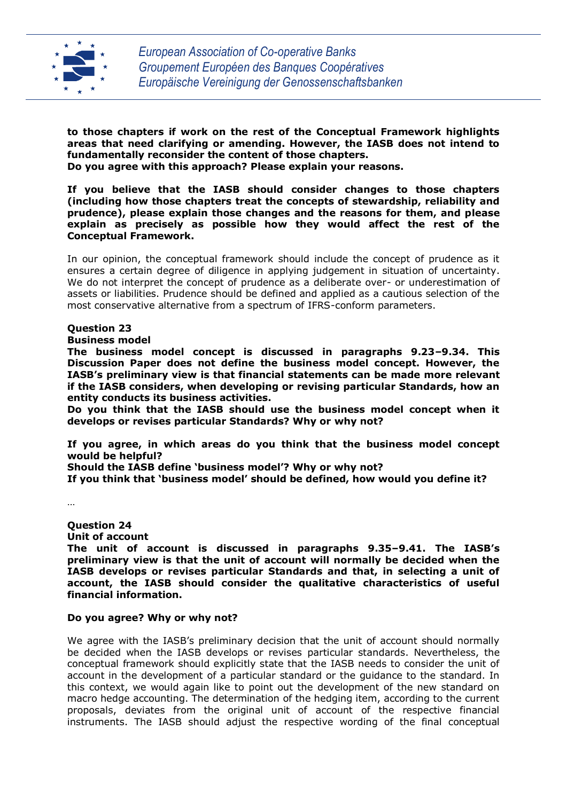

**to those chapters if work on the rest of the Conceptual Framework highlights areas that need clarifying or amending. However, the IASB does not intend to fundamentally reconsider the content of those chapters. Do you agree with this approach? Please explain your reasons.**

**If you believe that the IASB should consider changes to those chapters (including how those chapters treat the concepts of stewardship, reliability and prudence), please explain those changes and the reasons for them, and please explain as precisely as possible how they would affect the rest of the Conceptual Framework.**

In our opinion, the conceptual framework should include the concept of prudence as it ensures a certain degree of diligence in applying judgement in situation of uncertainty. We do not interpret the concept of prudence as a deliberate over- or underestimation of assets or liabilities. Prudence should be defined and applied as a cautious selection of the most conservative alternative from a spectrum of IFRS-conform parameters.

#### **Question 23**

# **Business model**

**The business model concept is discussed in paragraphs 9.23–9.34. This Discussion Paper does not define the business model concept. However, the IASB's preliminary view is that financial statements can be made more relevant if the IASB considers, when developing or revising particular Standards, how an entity conducts its business activities.**

**Do you think that the IASB should use the business model concept when it develops or revises particular Standards? Why or why not?**

**If you agree, in which areas do you think that the business model concept would be helpful?**

**Should the IASB define 'business model'? Why or why not?**

**If you think that 'business model' should be defined, how would you define it?**

…

**Question 24**

**Unit of account The unit of account is discussed in paragraphs 9.35–9.41. The IASB's preliminary view is that the unit of account will normally be decided when the IASB develops or revises particular Standards and that, in selecting a unit of account, the IASB should consider the qualitative characteristics of useful financial information.**

# **Do you agree? Why or why not?**

We agree with the IASB's preliminary decision that the unit of account should normally be decided when the IASB develops or revises particular standards. Nevertheless, the conceptual framework should explicitly state that the IASB needs to consider the unit of account in the development of a particular standard or the guidance to the standard. In this context, we would again like to point out the development of the new standard on macro hedge accounting. The determination of the hedging item, according to the current proposals, deviates from the original unit of account of the respective financial instruments. The IASB should adjust the respective wording of the final conceptual